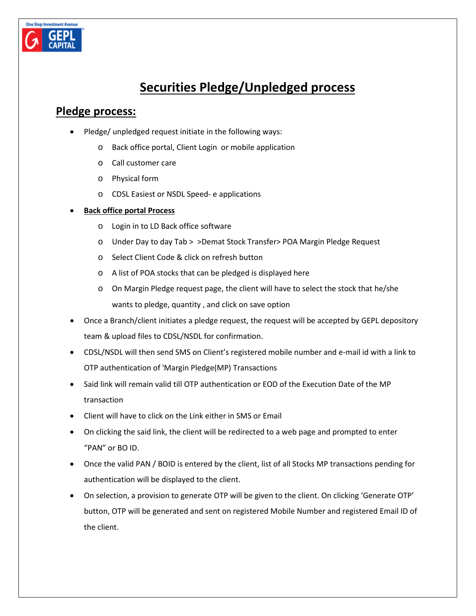

# **Securities Pledge/Unpledged process**

## **Pledge process:**

- Pledge/ unpledged request initiate in the following ways:
	- o Back office portal, Client Login or mobile application
	- o Call customer care
	- o Physical form
	- o CDSL Easiest or NSDL Speed- e applications

#### • **Back office portal Process**

- o Login in to LD Back office software
- o Under Day to day Tab > >Demat Stock Transfer> POA Margin Pledge Request
- o Select Client Code & click on refresh button
- o A list of POA stocks that can be pledged is displayed here
- o On Margin Pledge request page, the client will have to select the stock that he/she wants to pledge, quantity , and click on save option
- Once a Branch/client initiates a pledge request, the request will be accepted by GEPL depository team & upload files to CDSL/NSDL for confirmation.
- CDSL/NSDL will then send SMS on Client's registered mobile number and e-mail id with a link to OTP authentication of 'Margin Pledge(MP) Transactions
- Said link will remain valid till OTP authentication or EOD of the Execution Date of the MP transaction
- Client will have to click on the Link either in SMS or Email
- On clicking the said link, the client will be redirected to a web page and prompted to enter "PAN" or BO ID.
- Once the valid PAN / BOID is entered by the client, list of all Stocks MP transactions pending for authentication will be displayed to the client.
- On selection, a provision to generate OTP will be given to the client. On clicking 'Generate OTP' button, OTP will be generated and sent on registered Mobile Number and registered Email ID of the client.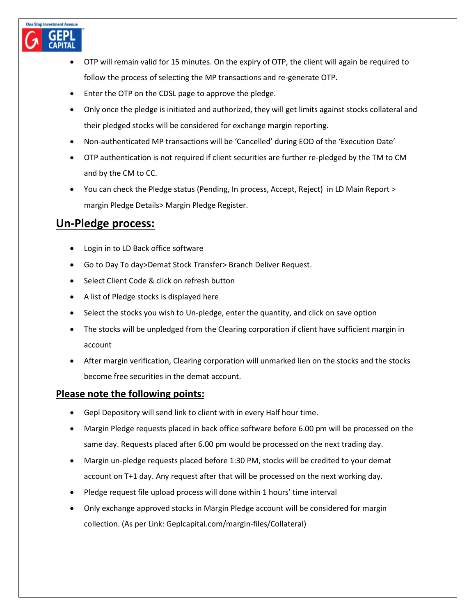

- Enter the OTP on the CDSL page to approve the pledge.
- Only once the pledge is initiated and authorized, they will get limits against stocks collateral and their pledged stocks will be considered for exchange margin reporting.
- Non-authenticated MP transactions will be 'Cancelled' during EOD of the 'Execution Date'
- OTP authentication is not required if client securities are further re-pledged by the TM to CM and by the CM to CC.
- You can check the Pledge status (Pending, In process, Accept, Reject) in LD Main Report > margin Pledge Details> Margin Pledge Register.

## **Un-Pledge process:**

**One Stop Investment Avenue** 

- Login in to LD Back office software
- Go to Day To day>Demat Stock Transfer> Branch Deliver Request.
- Select Client Code & click on refresh button
- A list of Pledge stocks is displayed here
- Select the stocks you wish to Un-pledge, enter the quantity, and click on save option
- The stocks will be unpledged from the Clearing corporation if client have sufficient margin in account
- After margin verification, Clearing corporation will unmarked lien on the stocks and the stocks become free securities in the demat account.

#### **Please note the following points:**

- Gepl Depository will send link to client with in every Half hour time.
- Margin Pledge requests placed in back office software before 6.00 pm will be processed on the same day. Requests placed after 6.00 pm would be processed on the next trading day.
- Margin un-pledge requests placed before 1:30 PM, stocks will be credited to your demat account on T+1 day. Any request after that will be processed on the next working day.
- Pledge request file upload process will done within 1 hours' time interval
- Only exchange approved stocks in Margin Pledge account will be considered for margin collection. (As per Link: [Geplcapital.com/margin-files/Collateral\)](https://geplcapital.com/margin-files)